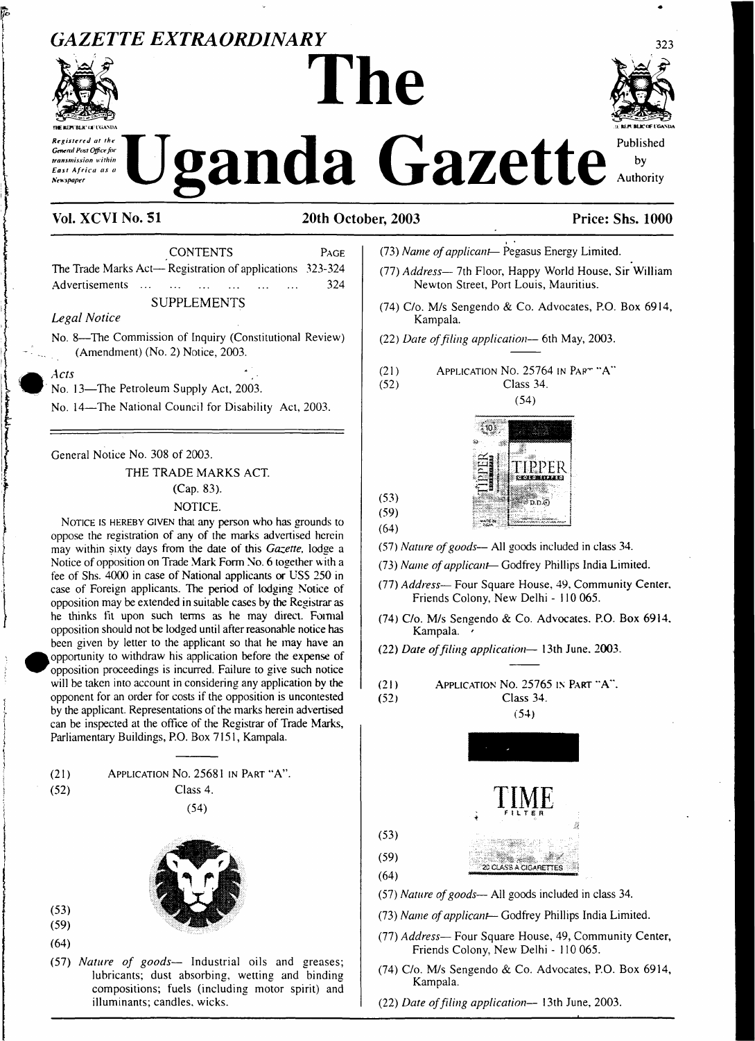## *GAZETTE EXTRAORDINARY <sup>323</sup>*



# **TWM£M BLK'<»:<sup>t</sup> <iAM)A '> MEM MJCWt GASUA** Registered at the Uganda Gazette Published

**The**



#### **Vol. XCVI No. SI 20th October, 2003 Price: Shs. 1000**

CONTENTS PAGE The Trade Marks Act— Registration of applications 323-324 Advertisements ... ... ... ... ... ... 324 : SUPPLEMENTS

#### *Legal Notice*

) No. 8—The Commission of Inquiry (Constitutional Review)  $(Amendment) (No. 2) Notice, 2003.$ 

*Acts*

*•*

No. 13—The Petroleum Supply Act, 2003.

| No. <sup>14</sup>—The National Council for Disability Act, 2003.

| General Notice No. <sup>308</sup> of 2003. **IPS THE TRADE MARKS ACT.**<br> **I** (Cap. 83).

#### NOTICE.

NOTICE IS HEREBY GIVEN that any person who has grounds to oppose the registration of any of the marks advertised herein may within sixty days from the date of this *Gazette*, lodge a Notice of opposition on Trade Mark Form No. 6 together with a fee of Shs. 4000 in case of National applicants or USS 250 in case of Foreign applicants. The period of lodging Notice of opposition may be extended in suitable cases by the Registrar as he thinks fit upon such terms as he may direct. Formal opposition should not be lodged until afterreasonable notice has been given by letter to the applicant so that he may have an opportunity to withdraw his application before the expense of opposition proceedings is incurred. Failure to give such notice will be taken into account in considering any application by the opponent for an order for costs if the opposition is uncontested by the applicant. Representations of the marks herein advertised can be inspected at the office of the Registrar of Trade Marks, Parliamentary Buildings, P.O. Box 7151, Kampala.

- (21) Application No. 25681 in Part "A".
- (52)

Class 4. (54)



(53)

- (59)
- (64)
- (57) *Nature of goods—* Industrial oils and greases; lubricants; dust absorbing, wetting and binding compositions; fuels (including motor spirit) and illuminants; candles, wicks.
- (73) *Name ofapplicant—* Pegasus Energy Limited.
- (77) *Address—* 7th Floor, Happy World House, Sir William Newton Street, Port Louis, Mauritius.
- (74) C/o. M/s Sengendo & Co. Advocates, P.O. Box 6914, Kampala.
- (22) *Date offiling application—* 6th May, 2003.
- (21) (52) APPLICATION NO. 25764 IN PART "A" Class 34.
	- (54)



(53) (59) (64)

- (57) *Nature ofgoods* All goods included in class 34.
- (73) *Name ofapplicant—* Godfrey Phillips India Limited.
- (77) *Address—* Four Square House, 49, Community Center. Friends Colony, New Delhi - 110 065.
- (74) C/o. M/s Sengendo & Co. Advocates. P.O. Box 6914. Kampala.
- (22) *Date offiling application—* 13th June. 2003.
- (21) Application No. 25765 in Part "A". (52) Class 34.



- (57) *Nature ofgoods—* All goods included in class 34.
- (73) *Name ofapplicant—* Godfrey Phillips India Limited.
- (77) *Address—* Four Square House, 49, Community Center, Friends Colony, New Delhi - 110 065.
- (74) C/o. M/s Sengendo & Co. Advocates, P.O. Box 6914, Kampala.
- (22) *Date offiling application—* 13th June, 2003.